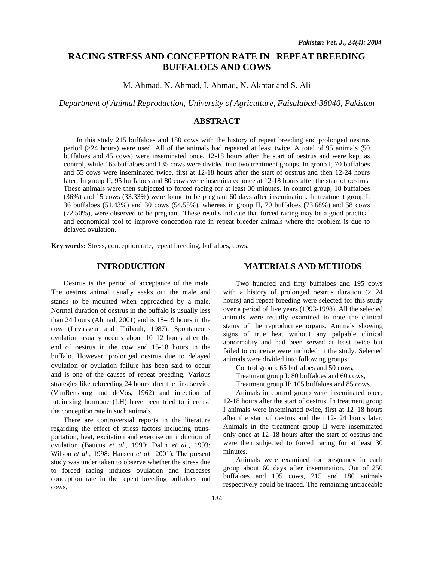# **RACING STRESS AND CONCEPTION RATE IN REPEAT BREEDING BUFFALOES AND COWS**

M. Ahmad, N. Ahmad, I. Ahmad, N. Akhtar and S. Ali

*Department of Animal Reproduction, University of Agriculture, Faisalabad-38040, Pakistan* 

## **ABSTRACT**

In this study 215 buffaloes and 180 cows with the history of repeat breeding and prolonged oestrus period (>24 hours) were used. All of the animals had repeated at least twice. A total of 95 animals (50 buffaloes and 45 cows) were inseminated once, 12-18 hours after the start of oestrus and were kept as control, while 165 buffaloes and 135 cows were divided into two treatment groups. In group I, 70 buffaloes and 55 cows were inseminated twice, first at 12-18 hours after the start of oestrus and then 12-24 hours later. In group II, 95 buffaloes and 80 cows were inseminated once at 12-18 hours after the start of oestrus. These animals were then subjected to forced racing for at least 30 minutes. In control group, 18 buffaloes (36%) and 15 cows (33.33%) were found to be pregnant 60 days after insemination. In treatment group I, 36 buffaloes (51.43%) and 30 cows (54.55%), whereas in group II, 70 buffaloes (73.68%) and 58 cows (72.50%), were observed to be pregnant. These results indicate that forced racing may be a good practical and economical tool to improve conception rate in repeat breeder animals where the problem is due to delayed ovulation.

**Key words:** Stress, conception rate, repeat breeding, buffaloes, cows.

## **INTRODUCTION**

Oestrus is the period of acceptance of the male. The oestrus animal usually seeks out the male and stands to be mounted when approached by a male. Normal duration of oestrus in the buffalo is usually less than 24 hours (Ahmad, 2001) and is 18–19 hours in the cow (Levasseur and Thibault, 1987). Spontaneous ovulation usually occurs about 10–12 hours after the end of oestrus in the cow and 15-18 hours in the buffalo. However, prolonged oestrus due to delayed ovulation or ovulation failure has been said to occur and is one of the causes of repeat breeding. Various strategies like rebreeding 24 hours after the first service (VanRensburg and deVos, 1962) and injection of luteinizing hormone (LH) have been tried to increase the conception rate in such animals.

There are controversial reports in the literature regarding the effect of stress factors including transportation, heat, excitation and exercise on induction of ovulation (Baucus *et al.,* 1990; Dalin *et al.,* 1993; Wilson *et al.,* 1998: Hansen *et al.,* 2001). The present study was under taken to observe whether the stress due to forced racing induces ovulation and increases conception rate in the repeat breeding buffaloes and cows.

#### **MATERIALS AND METHODS**

Two hundred and fifty buffaloes and 195 cows with a history of prolonged oestrus duration (> 24 hours) and repeat breeding were selected for this study over a period of five years (1993-1998). All the selected animals were rectally examined to note the clinical status of the reproductive organs. Animals showing signs of true heat without any palpable clinical abnormality and had been served at least twice but failed to conceive were included in the study. Selected animals were divided into following groups:

Control group: 65 buffaloes and 50 cows,

- Treatment group I: 80 buffaloes and 60 cows,
- Treatment group II: 105 buffaloes and 85 cows.

Animals in control group were inseminated once,

12-18 hours after the start of oestrus. In treatment group I animals were inseminated twice, first at 12–18 hours after the start of oestrus and then 12- 24 hours later. Animals in the treatment group II were inseminated only once at 12–18 hours after the start of oestrus and were then subjected to forced racing for at least 30 minutes.

Animals were examined for pregnancy in each group about 60 days after insemination. Out of 250 buffaloes and 195 cows, 215 and 180 animals respectively could be traced. The remaining untraceable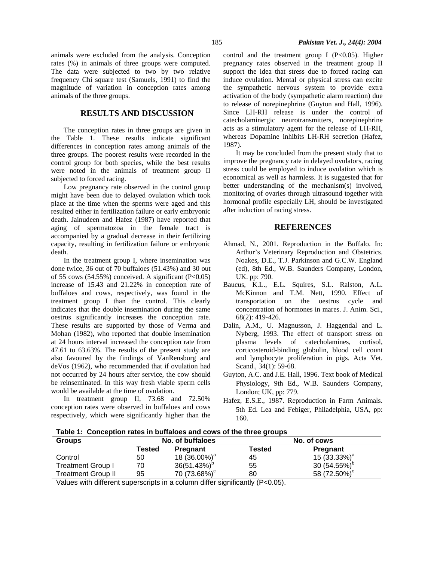### **RESULTS AND DISCUSSION**

The conception rates in three groups are given in the Table 1. These results indicate significant differences in conception rates among animals of the three groups. The poorest results were recorded in the control group for both species, while the best results were noted in the animals of treatment group II subjected to forced racing.

Low pregnancy rate observed in the control group might have been due to delayed ovulation which took place at the time when the sperms were aged and this resulted either in fertilization failure or early embryonic death. Jainudeen and Hafez (1987) have reported that aging of spermatozoa in the female tract is accompanied by a gradual decrease in their fertilizing capacity, resulting in fertilization failure or embryonic death.

In the treatment group I, where insemination was done twice, 36 out of 70 buffaloes (51.43%) and 30 out of 55 cows (54.55%) conceived. A significant  $(P<0.05)$ increase of 15.43 and 21.22% in conception rate of buffaloes and cows, respectively, was found in the treatment group I than the control. This clearly indicates that the double insemination during the same oestrus significantly increases the conception rate. These results are supported by those of Verma and Mohan (1982), who reported that double insemination at 24 hours interval increased the conception rate from 47.61 to 63.63%. The results of the present study are also favoured by the findings of VanRensburg and deVos (1962), who recommended that if ovulation had not occurred by 24 hours after service, the cow should be reinseminated. In this way fresh viable sperm cells would be available at the time of ovulation.

In treatment group II, 73.68 and 72.50% conception rates were observed in buffaloes and cows respectively, which were significantly higher than the control and the treatment group I ( $P<0.05$ ). Higher pregnancy rates observed in the treatment group II support the idea that stress due to forced racing can induce ovulation. Mental or physical stress can excite the sympathetic nervous system to provide extra activation of the body (sympathetic alarm reaction) due to release of norepinephrine (Guyton and Hall, 1996). Since LH-RH release is under the control of catecholaminergic neurotransmitters, norepinephrine acts as a stimulatory agent for the release of LH-RH, whereas Dopamine inhibits LH-RH secretion (Hafez, 1987).

It may be concluded from the present study that to improve the pregnancy rate in delayed ovulators, racing stress could be employed to induce ovulation which is economical as well as harmless. It is suggested that for better understanding of the mechanism(s) involved, monitoring of ovaries through ultrasound together with hormonal profile especially LH, should be investigated after induction of racing stress.

#### **REFERENCES**

- Ahmad, N., 2001. Reproduction in the Buffalo. In: Arthur's Veterinary Reproduction and Obstetrics. Noakes, D.E., T.J. Parkinson and G.C.W. England (ed), 8th Ed., W.B. Saunders Company, London, UK. pp: 790.
- Baucus, K.L., E.L. Squires, S.L. Ralston, A.L. McKinnon and T.M. Nett, 1990. Effect of transportation on the oestrus cycle and concentration of hormones in mares. J. Anim. Sci., 68(2): 419-426.
- Dalin, A.M., U. Magnusson, J. Haggendal and L. Nyberg, 1993. The effect of transport stress on plasma levels of catecholamines, cortisol, corticosteroid-binding globulin, blood cell count and lymphocyte proliferation in pigs. Acta Vet. Scand., 34(1): 59-68.
- Guyton, A.C. and J.E. Hall, 1996. Text book of Medical Physiology, 9th Ed., W.B. Saunders Company, London; UK, pp: 779.
- Hafez, E.S.E., 1987. Reproduction in Farm Animals. 5th Ed. Lea and Febiger, Philadelphia, USA, pp: 160.

**Table 1: Conception rates in buffaloes and cows of the three groups** 

| <b>Groups</b>            | No. of buffaloes |                          | No. of cows                     |                          |  |
|--------------------------|------------------|--------------------------|---------------------------------|--------------------------|--|
|                          | Tested           | <b>Pregnant</b>          | Tested                          | Pregnant                 |  |
| Control                  | 50               | 18 (36.00%) <sup>a</sup> | 45                              | 15 $(33.33%)^a$          |  |
| <b>Treatment Group I</b> | 70               | $36(51.43%)^b$           | 55                              | 30 $(54.55\%)^b$         |  |
| Treatment Group II       | 95               | 70 (73.68%) <sup>c</sup> | 80                              | 58 (72.50%) <sup>c</sup> |  |
| $\cdots$<br>.            |                  |                          | .<br>$\cdots$ $\cdots$ $\cdots$ |                          |  |

Values with different superscripts in a column differ significantly (P<0.05).